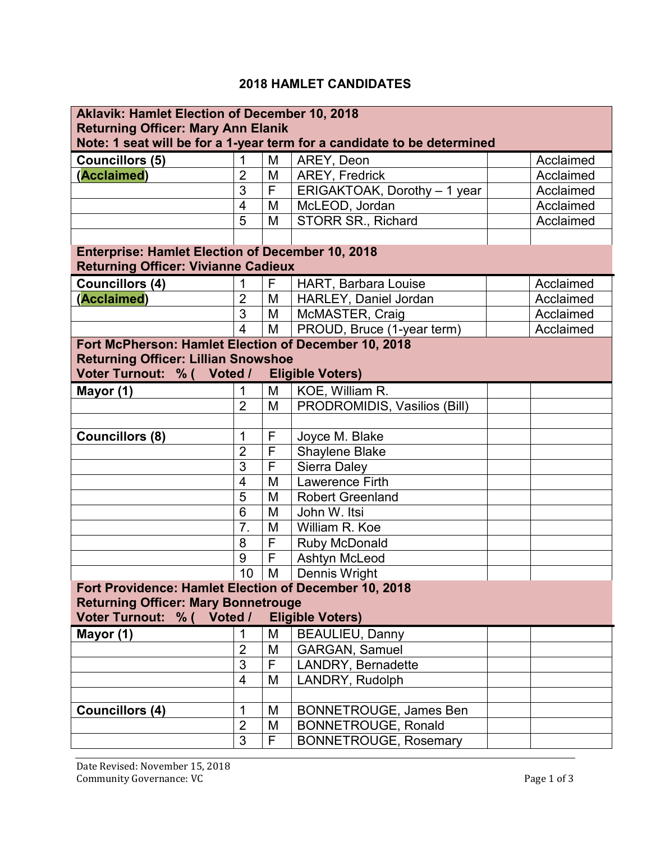## **2018 HAMLET CANDIDATES**

| <b>Aklavik: Hamlet Election of December 10, 2018</b>                    |                |                         |                               |           |  |  |  |  |
|-------------------------------------------------------------------------|----------------|-------------------------|-------------------------------|-----------|--|--|--|--|
| <b>Returning Officer: Mary Ann Elanik</b>                               |                |                         |                               |           |  |  |  |  |
| Note: 1 seat will be for a 1-year term for a candidate to be determined |                |                         |                               |           |  |  |  |  |
| <b>Councillors (5)</b>                                                  | 1              | M                       | AREY, Deon                    | Acclaimed |  |  |  |  |
| (Acclaimed)                                                             | $\overline{2}$ | M                       | <b>AREY, Fredrick</b>         | Acclaimed |  |  |  |  |
|                                                                         | 3              | $\overline{F}$          | ERIGAKTOAK, Dorothy - 1 year  | Acclaimed |  |  |  |  |
|                                                                         | $\overline{4}$ | M                       | McLEOD, Jordan                | Acclaimed |  |  |  |  |
|                                                                         | 5              | M                       | STORR SR., Richard            | Acclaimed |  |  |  |  |
|                                                                         |                |                         |                               |           |  |  |  |  |
| <b>Enterprise: Hamlet Election of December 10, 2018</b>                 |                |                         |                               |           |  |  |  |  |
| <b>Returning Officer: Vivianne Cadieux</b>                              |                |                         |                               |           |  |  |  |  |
| <b>Councillors (4)</b>                                                  | 1              | F                       | <b>HART, Barbara Louise</b>   | Acclaimed |  |  |  |  |
| (Acclaimed)                                                             | $\overline{2}$ | M                       | HARLEY, Daniel Jordan         | Acclaimed |  |  |  |  |
|                                                                         | $\overline{3}$ | M                       | McMASTER, Craig               | Acclaimed |  |  |  |  |
|                                                                         | $\overline{4}$ | M                       | PROUD, Bruce (1-year term)    | Acclaimed |  |  |  |  |
| Fort McPherson: Hamlet Election of December 10, 2018                    |                |                         |                               |           |  |  |  |  |
| <b>Returning Officer: Lillian Snowshoe</b>                              |                |                         |                               |           |  |  |  |  |
| Voter Turnout: % ( Voted /                                              |                |                         | <b>Eligible Voters)</b>       |           |  |  |  |  |
| Mayor (1)                                                               | 1              | M                       | KOE, William R.               |           |  |  |  |  |
|                                                                         | $\overline{2}$ | M                       | PRODROMIDIS, Vasilios (Bill)  |           |  |  |  |  |
|                                                                         |                |                         |                               |           |  |  |  |  |
| <b>Councillors (8)</b>                                                  | 1              | F                       | Joyce M. Blake                |           |  |  |  |  |
|                                                                         | $\overline{2}$ | $\mathsf F$             | <b>Shaylene Blake</b>         |           |  |  |  |  |
|                                                                         | $\overline{3}$ | $\overline{\mathsf{F}}$ | <b>Sierra Daley</b>           |           |  |  |  |  |
|                                                                         | $\overline{4}$ | M                       | Lawerence Firth               |           |  |  |  |  |
|                                                                         | 5              | M                       | <b>Robert Greenland</b>       |           |  |  |  |  |
|                                                                         | $\overline{6}$ | M                       | John W. Itsi                  |           |  |  |  |  |
|                                                                         | 7.             | M                       | William R. Koe                |           |  |  |  |  |
|                                                                         | 8              | F                       | <b>Ruby McDonald</b>          |           |  |  |  |  |
|                                                                         | 9              | $\mathsf{F}$            | Ashtyn McLeod                 |           |  |  |  |  |
|                                                                         | 10             | M                       | <b>Dennis Wright</b>          |           |  |  |  |  |
| Fort Providence: Hamlet Election of December 10, 2018                   |                |                         |                               |           |  |  |  |  |
| <b>Returning Officer: Mary Bonnetrouge</b>                              |                |                         |                               |           |  |  |  |  |
| Voter Turnout: % ( Voted /                                              |                |                         | <b>Eligible Voters)</b>       |           |  |  |  |  |
| Mayor (1)                                                               | 1              | M                       | <b>BEAULIEU, Danny</b>        |           |  |  |  |  |
|                                                                         | $\overline{2}$ | M                       | <b>GARGAN, Samuel</b>         |           |  |  |  |  |
|                                                                         | $\overline{3}$ | $\overline{F}$          | LANDRY, Bernadette            |           |  |  |  |  |
|                                                                         | $\overline{4}$ | M                       | LANDRY, Rudolph               |           |  |  |  |  |
|                                                                         |                |                         |                               |           |  |  |  |  |
| <b>Councillors (4)</b>                                                  | 1              | M                       | <b>BONNETROUGE, James Ben</b> |           |  |  |  |  |
|                                                                         | $\overline{2}$ | M                       | <b>BONNETROUGE, Ronald</b>    |           |  |  |  |  |
|                                                                         | $\overline{3}$ | F                       | <b>BONNETROUGE, Rosemary</b>  |           |  |  |  |  |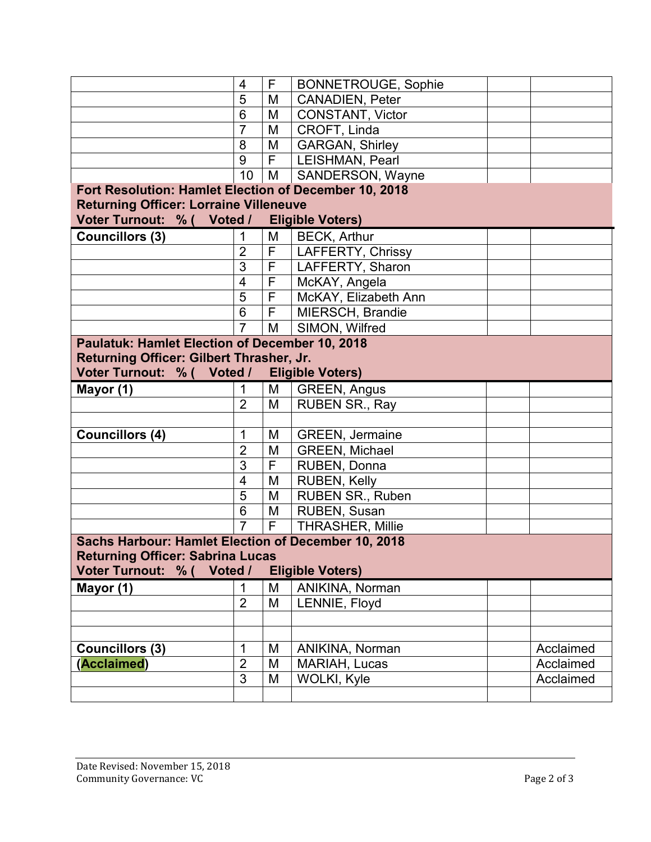|                                                       | $\overline{4}$          | F                       | <b>BONNETROUGE, Sophie</b> |           |  |  |  |  |
|-------------------------------------------------------|-------------------------|-------------------------|----------------------------|-----------|--|--|--|--|
|                                                       | 5                       | M                       | <b>CANADIEN, Peter</b>     |           |  |  |  |  |
|                                                       | $6\phantom{1}6$         | M                       | <b>CONSTANT, Victor</b>    |           |  |  |  |  |
|                                                       | $\overline{7}$          | M                       | CROFT, Linda               |           |  |  |  |  |
|                                                       | 8                       | M                       | <b>GARGAN, Shirley</b>     |           |  |  |  |  |
|                                                       | 9                       | F                       | LEISHMAN, Pearl            |           |  |  |  |  |
|                                                       | 10                      | M                       | SANDERSON, Wayne           |           |  |  |  |  |
| Fort Resolution: Hamlet Election of December 10, 2018 |                         |                         |                            |           |  |  |  |  |
| <b>Returning Officer: Lorraine Villeneuve</b>         |                         |                         |                            |           |  |  |  |  |
| Voter Turnout: % ( Voted /                            |                         |                         | <b>Eligible Voters)</b>    |           |  |  |  |  |
| <b>Councillors (3)</b>                                | 1                       | M                       | <b>BECK, Arthur</b>        |           |  |  |  |  |
|                                                       | $\overline{2}$          | $\overline{F}$          | LAFFERTY, Chrissy          |           |  |  |  |  |
|                                                       | $\overline{3}$          | $\overline{\mathsf{F}}$ | LAFFERTY, Sharon           |           |  |  |  |  |
|                                                       | $\overline{\mathbf{4}}$ | F                       | McKAY, Angela              |           |  |  |  |  |
|                                                       | 5                       | F                       | McKAY, Elizabeth Ann       |           |  |  |  |  |
|                                                       | $6\phantom{1}6$         | F                       | MIERSCH, Brandie           |           |  |  |  |  |
|                                                       | $\overline{7}$          | M                       | SIMON, Wilfred             |           |  |  |  |  |
| <b>Paulatuk: Hamlet Election of December 10, 2018</b> |                         |                         |                            |           |  |  |  |  |
| Returning Officer: Gilbert Thrasher, Jr.              |                         |                         |                            |           |  |  |  |  |
| Voter Turnout: % ( Voted /                            |                         |                         | <b>Eligible Voters)</b>    |           |  |  |  |  |
| Mayor (1)                                             | 1                       | М                       | GREEN, Angus               |           |  |  |  |  |
|                                                       | $\overline{2}$          | M                       | RUBEN SR., Ray             |           |  |  |  |  |
|                                                       |                         |                         |                            |           |  |  |  |  |
| <b>Councillors (4)</b>                                | 1                       | M                       | <b>GREEN, Jermaine</b>     |           |  |  |  |  |
|                                                       | $\overline{2}$          | M                       | <b>GREEN, Michael</b>      |           |  |  |  |  |
|                                                       | 3                       | F                       | RUBEN, Donna               |           |  |  |  |  |
|                                                       | $\overline{4}$          | M                       | <b>RUBEN, Kelly</b>        |           |  |  |  |  |
|                                                       | $\overline{5}$          | M                       | RUBEN SR., Ruben           |           |  |  |  |  |
|                                                       | 6                       | M                       | RUBEN, Susan               |           |  |  |  |  |
|                                                       | $\overline{7}$          | F                       | <b>THRASHER, Millie</b>    |           |  |  |  |  |
| Sachs Harbour: Hamlet Election of December 10, 2018   |                         |                         |                            |           |  |  |  |  |
| <b>Returning Officer: Sabrina Lucas</b>               |                         |                         |                            |           |  |  |  |  |
| Voter Turnout: % (<br>Voted /                         |                         |                         | <b>Eligible Voters)</b>    |           |  |  |  |  |
| Mayor (1)                                             | 1                       | M                       | ANIKINA, Norman            |           |  |  |  |  |
|                                                       | $\overline{2}$          | M                       | LENNIE, Floyd              |           |  |  |  |  |
|                                                       |                         |                         |                            |           |  |  |  |  |
|                                                       |                         |                         |                            |           |  |  |  |  |
| <b>Councillors (3)</b>                                | 1                       | M                       | ANIKINA, Norman            | Acclaimed |  |  |  |  |
| (Acclaimed)                                           | $\overline{2}$          | M                       | <b>MARIAH, Lucas</b>       | Acclaimed |  |  |  |  |
|                                                       |                         |                         |                            |           |  |  |  |  |
|                                                       | 3                       | M                       | WOLKI, Kyle                | Acclaimed |  |  |  |  |